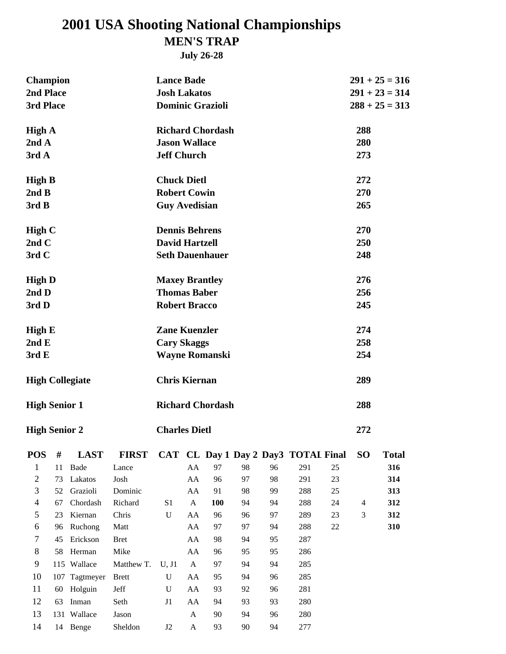# **MEN'S TRAP 2001 USA Shooting National Championships**

**July 26-28**

| <b>Champion</b>          |     |             |              | <b>Lance Bade</b>       |              |                         |    |    |                                      |    |                | $291 + 25 = 316$ |  |
|--------------------------|-----|-------------|--------------|-------------------------|--------------|-------------------------|----|----|--------------------------------------|----|----------------|------------------|--|
| 2nd Place                |     |             |              | <b>Josh Lakatos</b>     |              |                         |    |    |                                      |    |                | $291 + 23 = 314$ |  |
| 3rd Place                |     |             |              | <b>Dominic Grazioli</b> |              |                         |    |    |                                      |    |                | $288 + 25 = 313$ |  |
|                          |     |             |              |                         |              |                         |    |    |                                      |    |                |                  |  |
| <b>High A</b>            |     |             |              |                         |              | <b>Richard Chordash</b> |    |    |                                      |    | 288            |                  |  |
| 2ndA                     |     |             |              | <b>Jason Wallace</b>    |              |                         |    |    |                                      |    | 280            |                  |  |
| 3rd A                    |     |             |              | <b>Jeff Church</b>      |              |                         |    |    |                                      |    | 273            |                  |  |
|                          |     |             |              |                         |              |                         |    |    |                                      |    |                |                  |  |
| <b>High B</b>            |     |             |              | <b>Chuck Dietl</b>      |              |                         |    |    |                                      |    | 272            |                  |  |
| 2ndB                     |     |             |              | <b>Robert Cowin</b>     |              |                         |    |    |                                      |    | 270            |                  |  |
| 3rd B                    |     |             |              | <b>Guy Avedisian</b>    |              |                         |    |    |                                      |    | 265            |                  |  |
| High $C$                 |     |             |              | <b>Dennis Behrens</b>   |              |                         |    |    |                                      |    | 270            |                  |  |
| 2ndC                     |     |             |              | <b>David Hartzell</b>   |              |                         |    |    |                                      |    | 250            |                  |  |
| 3rd C                    |     |             |              | <b>Seth Dauenhauer</b>  |              |                         |    |    |                                      |    | 248            |                  |  |
|                          |     |             |              |                         |              |                         |    |    |                                      |    |                |                  |  |
| <b>High D</b>            |     |             |              | <b>Maxey Brantley</b>   |              |                         |    |    |                                      |    | 276            |                  |  |
| 2nd <sub>D</sub>         |     |             |              | <b>Thomas Baber</b>     |              |                         |    |    |                                      |    | 256            |                  |  |
| 3rd D                    |     |             |              | <b>Robert Bracco</b>    |              |                         |    |    |                                      |    | 245            |                  |  |
|                          |     |             |              |                         |              |                         |    |    |                                      |    |                |                  |  |
| <b>High E</b>            |     |             |              | <b>Zane Kuenzler</b>    |              |                         |    |    |                                      |    | 274            |                  |  |
| 2ndE                     |     |             |              | <b>Cary Skaggs</b>      |              |                         |    |    |                                      |    | 258            |                  |  |
| 3rdE                     |     |             |              |                         |              | <b>Wayne Romanski</b>   |    |    |                                      |    | 254            |                  |  |
|                          |     |             |              |                         |              |                         |    |    |                                      |    |                |                  |  |
| <b>High Collegiate</b>   |     |             |              | <b>Chris Kiernan</b>    |              |                         |    |    |                                      |    | 289            |                  |  |
|                          |     |             |              |                         |              |                         |    |    |                                      |    |                |                  |  |
| <b>High Senior 1</b>     |     |             |              |                         |              | <b>Richard Chordash</b> |    |    |                                      |    | 288            |                  |  |
|                          |     |             |              |                         |              |                         |    |    |                                      |    |                |                  |  |
| <b>High Senior 2</b>     |     |             |              | <b>Charles Dietl</b>    |              |                         |    |    |                                      |    | 272            |                  |  |
| <b>POS</b>               | #   | <b>LAST</b> | <b>FIRST</b> |                         |              |                         |    |    | CAT CL Day 1 Day 2 Day 3 TOTAL Final |    | <b>SO</b>      | <b>Total</b>     |  |
| $\mathbf{1}$             | 11  | Bade        | Lance        |                         | AA           | 97                      | 98 | 96 | 291                                  | 25 |                | 316              |  |
| $\mathbf{2}$             | 73  | Lakatos     | Josh         |                         | AA           | 96                      | 97 | 98 | 291                                  | 23 |                | 314              |  |
| 3                        | 52  | Grazioli    | Dominic      |                         | AA           | 91                      | 98 | 99 | 288                                  | 25 |                | 313              |  |
| $\overline{\mathcal{A}}$ | 67  | Chordash    | Richard      | S1                      | $\mathbf{A}$ | 100                     | 94 | 94 | 288                                  | 24 | $\overline{4}$ | 312              |  |
| 5                        | 23  | Kiernan     | Chris        | U                       | AA           | 96                      | 96 | 97 | 289                                  | 23 | $\mathfrak{Z}$ | 312              |  |
| 6                        | 96  | Ruchong     | Matt         |                         | AA           | 97                      | 97 | 94 | 288                                  | 22 |                | 310              |  |
| 7                        | 45  | Erickson    | <b>Bret</b>  |                         | AA           | 98                      | 94 | 95 | 287                                  |    |                |                  |  |
| 8                        | 58  | Herman      | Mike         |                         | AA           | 96                      | 95 | 95 | 286                                  |    |                |                  |  |
| 9                        |     | 115 Wallace | Matthew T.   | U, J1                   | A            | 97                      | 94 | 94 | 285                                  |    |                |                  |  |
| 10                       | 107 | Tagtmeyer   | <b>Brett</b> | ${\bf U}$               | AA           | 95                      | 94 | 96 | 285                                  |    |                |                  |  |
| 11                       | 60  | Holguin     | Jeff         | U                       | AA           | 93                      | 92 | 96 | 281                                  |    |                |                  |  |
| 12                       | 63  | Inman       | Seth         | J1                      | AA           | 94                      | 93 | 93 | 280                                  |    |                |                  |  |
| 13                       |     | 131 Wallace | Jason        |                         | $\mathbf{A}$ | 90                      | 94 | 96 | 280                                  |    |                |                  |  |
| 14                       |     | 14 Benge    | Sheldon      | J2                      | $\mathbf{A}$ | 93                      | 90 | 94 | 277                                  |    |                |                  |  |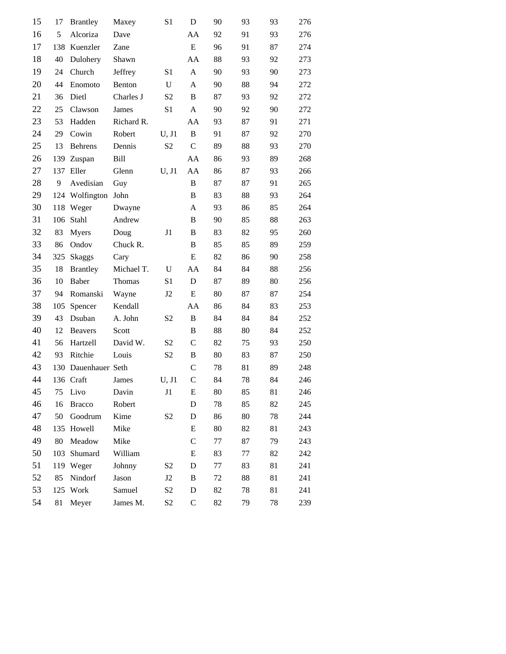| 15 | 17  | <b>Brantley</b> | Maxey       | S <sub>1</sub> | D            | 90 | 93 | 93 | 276 |
|----|-----|-----------------|-------------|----------------|--------------|----|----|----|-----|
| 16 | 5   | Alcoriza        | Dave        |                | AA           | 92 | 91 | 93 | 276 |
| 17 | 138 | Kuenzler        | Zane        |                | ${\bf E}$    | 96 | 91 | 87 | 274 |
| 18 | 40  | Dulohery        | Shawn       |                | AA           | 88 | 93 | 92 | 273 |
| 19 | 24  | Church          | Jeffrey     | S <sub>1</sub> | A            | 90 | 93 | 90 | 273 |
| 20 | 44  | Enomoto         | Benton      | U              | A            | 90 | 88 | 94 | 272 |
| 21 | 36  | Dietl           | Charles J   | S <sub>2</sub> | B            | 87 | 93 | 92 | 272 |
| 22 | 25  | Clawson         | James       | S <sub>1</sub> | A            | 90 | 92 | 90 | 272 |
| 23 | 53  | Hadden          | Richard R.  |                | AA           | 93 | 87 | 91 | 271 |
| 24 | 29  | Cowin           | Robert      | U, J1          | $\, {\bf B}$ | 91 | 87 | 92 | 270 |
| 25 | 13  | <b>Behrens</b>  | Dennis      | S <sub>2</sub> | $\mathbf C$  | 89 | 88 | 93 | 270 |
| 26 | 139 | Zuspan          | <b>Bill</b> |                | AA           | 86 | 93 | 89 | 268 |
| 27 | 137 | Eller           | Glenn       | U, J1          | AA           | 86 | 87 | 93 | 266 |
| 28 | 9   | Avedisian       | Guy         |                | B            | 87 | 87 | 91 | 265 |
| 29 |     | 124 Wolfington  | John        |                | B            | 83 | 88 | 93 | 264 |
| 30 | 118 | Weger           | Dwayne      |                | A            | 93 | 86 | 85 | 264 |
| 31 | 106 | Stahl           | Andrew      |                | B            | 90 | 85 | 88 | 263 |
| 32 | 83  | Myers           | Doug        | J1             | B            | 83 | 82 | 95 | 260 |
| 33 | 86  | Ondov           | Chuck R.    |                | B            | 85 | 85 | 89 | 259 |
| 34 | 325 | <b>Skaggs</b>   | Cary        |                | E            | 82 | 86 | 90 | 258 |
| 35 | 18  | <b>Brantley</b> | Michael T.  | U              | AA           | 84 | 84 | 88 | 256 |
| 36 | 10  | <b>Baber</b>    | Thomas      | S1             | D            | 87 | 89 | 80 | 256 |
| 37 | 94  | Romanski        | Wayne       | J <sub>2</sub> | $\mathbf E$  | 80 | 87 | 87 | 254 |
| 38 | 105 | Spencer         | Kendall     |                | AA           | 86 | 84 | 83 | 253 |
| 39 | 43  | Dsuban          | A. John     | S <sub>2</sub> | $\mathbf B$  | 84 | 84 | 84 | 252 |
| 40 | 12  | <b>Beavers</b>  | Scott       |                | B            | 88 | 80 | 84 | 252 |
| 41 | 56  | Hartzell        | David W.    | S <sub>2</sub> | $\mathsf{C}$ | 82 | 75 | 93 | 250 |
| 42 | 93  | Ritchie         | Louis       | S <sub>2</sub> | B            | 80 | 83 | 87 | 250 |
| 43 | 130 | Dauenhauer Seth |             |                | $\mathsf{C}$ | 78 | 81 | 89 | 248 |
| 44 |     | 136 Craft       | James       | U, J1          | $\mathsf{C}$ | 84 | 78 | 84 | 246 |
| 45 | 75  | Livo            | Davin       | J1             | $\mathbf E$  | 80 | 85 | 81 | 246 |
| 46 | 16  | <b>Bracco</b>   | Robert      |                | D            | 78 | 85 | 82 | 245 |
| 47 | 50  | Goodrum         | Kime        | S <sub>2</sub> | D            | 86 | 80 | 78 | 244 |
| 48 | 135 | Howell          | Mike        |                | E            | 80 | 82 | 81 | 243 |
| 49 | 80  | Meadow          | Mike        |                | $\mathsf{C}$ | 77 | 87 | 79 | 243 |
| 50 | 103 | Shumard         | William     |                | E            | 83 | 77 | 82 | 242 |
| 51 |     | 119 Weger       | Johnny      | S <sub>2</sub> | $\mathbf D$  | 77 | 83 | 81 | 241 |
| 52 | 85  | Nindorf         | Jason       | J2             | B            | 72 | 88 | 81 | 241 |
| 53 |     | 125 Work        | Samuel      | S <sub>2</sub> | $\mathbf D$  | 82 | 78 | 81 | 241 |
| 54 | 81  | Meyer           | James M.    | S <sub>2</sub> | $\mathsf C$  | 82 | 79 | 78 | 239 |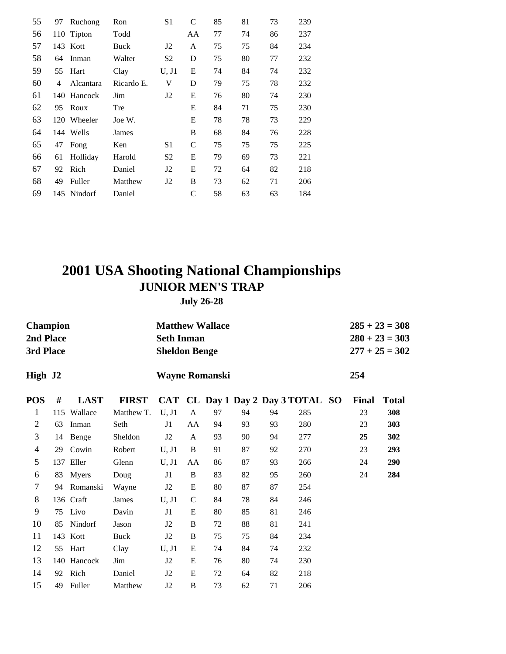| 55 | 97  | Ruchong     | Ron        | S <sub>1</sub> | $\mathcal{C}$ | 85 | 81 | 73 | 239 |
|----|-----|-------------|------------|----------------|---------------|----|----|----|-----|
| 56 |     | 110 Tipton  | Todd       |                | AA            | 77 | 74 | 86 | 237 |
| 57 |     | 143 Kott    | Buck       | J <sub>2</sub> | A             | 75 | 75 | 84 | 234 |
| 58 | 64  | Inman       | Walter     | S <sub>2</sub> | D             | 75 | 80 | 77 | 232 |
| 59 | 55  | Hart        | Clay       | U, J1          | E             | 74 | 84 | 74 | 232 |
| 60 | 4   | Alcantara   | Ricardo E. | V              | D             | 79 | 75 | 78 | 232 |
| 61 | 140 | Hancock     | Jim        | J <sub>2</sub> | E             | 76 | 80 | 74 | 230 |
| 62 | 95  | Roux        | Tre        |                | E             | 84 | 71 | 75 | 230 |
| 63 | 120 | Wheeler     | Joe W.     |                | E             | 78 | 78 | 73 | 229 |
| 64 |     | 144 Wells   | James      |                | B             | 68 | 84 | 76 | 228 |
| 65 | 47  | Fong        | Ken        | S1             | $\mathsf{C}$  | 75 | 75 | 75 | 225 |
| 66 | 61  | Holliday    | Harold     | S <sub>2</sub> | E             | 79 | 69 | 73 | 221 |
| 67 | 92  | Rich        | Daniel     | J2             | E             | 72 | 64 | 82 | 218 |
| 68 | 49  | Fuller      | Matthew    | J2             | B             | 73 | 62 | 71 | 206 |
| 69 |     | 145 Nindorf | Daniel     |                | C             | 58 | 63 | 63 | 184 |

# **JUNIOR MEN'S TRAP 2001 USA Shooting National Championships**

**July 26-28**

|                | <b>Champion</b><br>2nd Place<br>3rd Place<br>High J2 |             |              |                | <b>Matthew Wallace</b><br><b>Seth Inman</b><br><b>Sheldon Benge</b><br><b>Wayne Romanski</b> |    |    |    |                                   |  |       | $285 + 23 = 308$<br>$280 + 23 = 303$<br>$277 + 25 = 302$ |
|----------------|------------------------------------------------------|-------------|--------------|----------------|----------------------------------------------------------------------------------------------|----|----|----|-----------------------------------|--|-------|----------------------------------------------------------|
|                |                                                      |             |              |                |                                                                                              |    |    |    |                                   |  | 254   |                                                          |
| <b>POS</b>     | #                                                    | <b>LAST</b> | <b>FIRST</b> |                |                                                                                              |    |    |    | CAT CL Day 1 Day 2 Day 3 TOTAL SO |  | Final | <b>Total</b>                                             |
| 1              |                                                      | 115 Wallace | Matthew T.   | U, J1          | A                                                                                            | 97 | 94 | 94 | 285                               |  | 23    | 308                                                      |
| $\mathfrak{2}$ | 63                                                   | Inman       | Seth         | J1             | AA                                                                                           | 94 | 93 | 93 | 280                               |  | 23    | 303                                                      |
| 3              | 14                                                   | Benge       | Sheldon      | J2             | A                                                                                            | 93 | 90 | 94 | 277                               |  | 25    | 302                                                      |
| $\overline{4}$ | 29                                                   | Cowin       | Robert       | U, J1          | B                                                                                            | 91 | 87 | 92 | 270                               |  | 23    | 293                                                      |
| 5              |                                                      | 137 Eller   | Glenn        | U, J1          | AA                                                                                           | 86 | 87 | 93 | 266                               |  | 24    | 290                                                      |
| 6              | 83                                                   | Myers       | Doug         | J1             | B                                                                                            | 83 | 82 | 95 | 260                               |  | 24    | 284                                                      |
| 7              | 94                                                   | Romanski    | Wayne        | J2             | E                                                                                            | 80 | 87 | 87 | 254                               |  |       |                                                          |
| 8              |                                                      | 136 Craft   | James        | U, J1          | $\mathbf C$                                                                                  | 84 | 78 | 84 | 246                               |  |       |                                                          |
| 9              | 75                                                   | Livo        | Davin        | J1             | E                                                                                            | 80 | 85 | 81 | 246                               |  |       |                                                          |
| 10             | 85                                                   | Nindorf     | Jason        | J2             | B                                                                                            | 72 | 88 | 81 | 241                               |  |       |                                                          |
| 11             |                                                      | 143 Kott    | Buck         | J <sub>2</sub> | B                                                                                            | 75 | 75 | 84 | 234                               |  |       |                                                          |
| 12             | 55                                                   | Hart        | Clay         | U, J1          | E                                                                                            | 74 | 84 | 74 | 232                               |  |       |                                                          |
| 13             |                                                      | 140 Hancock | Jim          | J2             | E                                                                                            | 76 | 80 | 74 | 230                               |  |       |                                                          |
| 14             | 92                                                   | Rich        | Daniel       | J <sub>2</sub> | E                                                                                            | 72 | 64 | 82 | 218                               |  |       |                                                          |
| 15             | 49                                                   | Fuller      | Matthew      | J2             | B                                                                                            | 73 | 62 | 71 | 206                               |  |       |                                                          |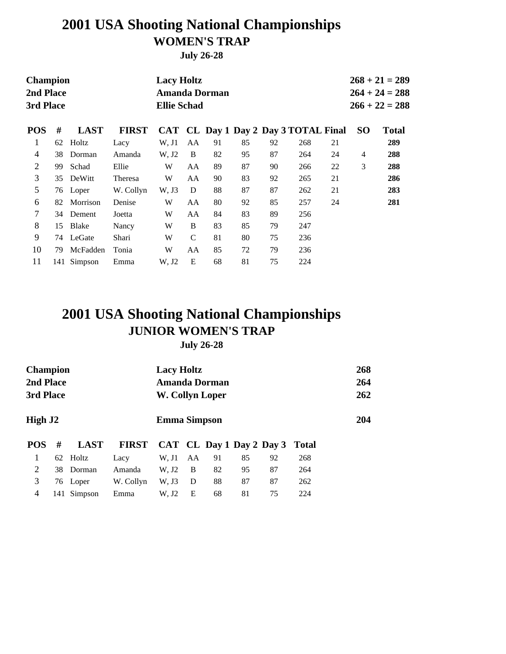# **2001 USA Shooting National Championships WOMEN'S TRAP**

**July 26-28**

| <b>Champion</b><br>2nd Place<br>3rd Place |    |              |              | <b>Lacy Holtz</b><br><b>Amanda Dorman</b><br><b>Ellie Schad</b><br>CAT CL Day 1 Day 2 Day 3 TOTAL Final |               |    |    |    |     |    |           | $268 + 21 = 289$<br>$264 + 24 = 288$<br>$266 + 22 = 288$ |
|-------------------------------------------|----|--------------|--------------|---------------------------------------------------------------------------------------------------------|---------------|----|----|----|-----|----|-----------|----------------------------------------------------------|
| <b>POS</b>                                | #  | <b>LAST</b>  | <b>FIRST</b> |                                                                                                         |               |    |    |    |     |    | <b>SO</b> | <b>Total</b>                                             |
| 1                                         | 62 | Holtz        | Lacy         | W, J1                                                                                                   | AA            | 91 | 85 | 92 | 268 | 21 |           | 289                                                      |
| 4                                         | 38 | Dorman       | Amanda       | W. J2                                                                                                   | B             | 82 | 95 | 87 | 264 | 24 | 4         | 288                                                      |
| 2                                         | 99 | Schad        | Ellie        | W                                                                                                       | AA            | 89 | 87 | 90 | 266 | 22 | 3         | 288                                                      |
| 3                                         | 35 | DeWitt       | Theresa      | W                                                                                                       | AA            | 90 | 83 | 92 | 265 | 21 |           | 286                                                      |
| 5                                         |    | 76 Loper     | W. Collyn    | W. J3                                                                                                   | D             | 88 | 87 | 87 | 262 | 21 |           | 283                                                      |
| 6                                         | 82 | Morrison     | Denise       | W                                                                                                       | AA            | 80 | 92 | 85 | 257 | 24 |           | 281                                                      |
| 7                                         | 34 | Dement       | Joetta       | W                                                                                                       | AA            | 84 | 83 | 89 | 256 |    |           |                                                          |
| 8                                         | 15 | <b>Blake</b> | Nancy        | W                                                                                                       | B             | 83 | 85 | 79 | 247 |    |           |                                                          |
| 9                                         |    | 74 LeGate    | Shari        | W                                                                                                       | $\mathcal{C}$ | 81 | 80 | 75 | 236 |    |           |                                                          |
| 10                                        | 79 | McFadden     | Tonia        | W                                                                                                       | AA            | 85 | 72 | 79 | 236 |    |           |                                                          |
| 11                                        |    | 141 Simpson  | Emma         | W, J2                                                                                                   | E             | 68 | 81 | 75 | 224 |    |           |                                                          |

#### **2001 USA Shooting National Championships JUNIOR WOMEN'S TRAP July 26-28**

| <b>Champion</b><br>2nd Place<br>3rd Place |    |             |              | <b>Lacy Holtz</b><br>W. Collyn Loper |    | Amanda Dorman |    |                          |              | 268<br>264<br>262 |
|-------------------------------------------|----|-------------|--------------|--------------------------------------|----|---------------|----|--------------------------|--------------|-------------------|
| High J2                                   |    |             |              | <b>Emma Simpson</b>                  |    |               |    |                          |              | 204               |
| <b>POS</b>                                | #  | <b>LAST</b> | <b>FIRST</b> |                                      |    |               |    | CAT CL Day 1 Day 2 Day 3 | <b>Total</b> |                   |
| 1                                         |    | 62 Holtz    | Lacy         | W. J1                                | AA | 91            | 85 | 92                       | 268          |                   |
| 2                                         | 38 | Dorman      | Amanda       | W, J2                                | B  | 82            | 95 | 87                       | 264          |                   |
| 3                                         |    | 76 Loper    | W. Collyn    | W, J3                                | D  | 88            | 87 | 87                       | 262          |                   |
| 4                                         |    | 141 Simpson | Emma         | W, J2                                | E  | 68            | 81 | 75                       | 224          |                   |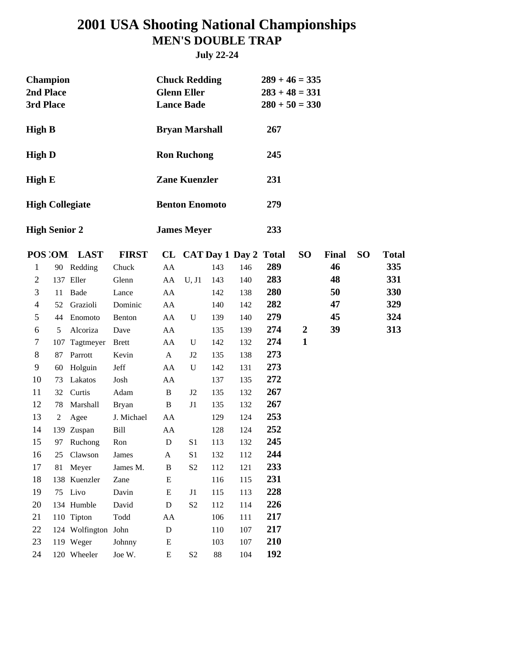## **2001 USA Shooting National Championships MEN'S DOUBLE TRAP**

**July 22-24**

|                      | <b>Champion</b><br>2nd Place<br>3rd Place |                        |              |              | <b>Chuck Redding</b><br><b>Glenn Eller</b><br><b>Lance Bade</b> |        |                          | $289 + 46 = 335$<br>$283 + 48 = 331$<br>$280 + 50 = 330$ |                  |              |                 |              |
|----------------------|-------------------------------------------|------------------------|--------------|--------------|-----------------------------------------------------------------|--------|--------------------------|----------------------------------------------------------|------------------|--------------|-----------------|--------------|
| <b>High B</b>        |                                           |                        |              |              | <b>Bryan Marshall</b>                                           |        |                          | 267                                                      |                  |              |                 |              |
| <b>High D</b>        |                                           |                        |              |              | <b>Ron Ruchong</b>                                              |        |                          | 245                                                      |                  |              |                 |              |
| <b>High E</b>        |                                           |                        |              |              | <b>Zane Kuenzler</b>                                            |        |                          | 231                                                      |                  |              |                 |              |
|                      |                                           | <b>High Collegiate</b> |              |              | <b>Benton Enomoto</b>                                           |        |                          | 279                                                      |                  |              |                 |              |
| <b>High Senior 2</b> |                                           |                        |              |              | <b>James Meyer</b>                                              |        |                          | 233                                                      |                  |              |                 |              |
|                      |                                           | POS OM LAST            | <b>FIRST</b> |              |                                                                 |        | CL CAT Day 1 Day 2 Total |                                                          | <b>SO</b>        | <b>Final</b> | SO <sub>1</sub> | <b>Total</b> |
| 1                    |                                           | 90 Redding             | Chuck        | AA           |                                                                 | 143    | 146                      | 289                                                      |                  | 46           |                 | 335          |
| $\mathfrak{2}$       |                                           | 137 Eller              | Glenn        | AA           | U, J1                                                           | 143    | 140                      | 283                                                      |                  | 48           |                 | 331          |
| 3                    | 11                                        | Bade                   | Lance        | AA           |                                                                 | 142    | 138                      | 280                                                      |                  | 50           |                 | 330          |
| 4                    | 52                                        | Grazioli               | Dominic      | AA           |                                                                 | 140    | 142                      | 282                                                      |                  | 47           |                 | 329          |
| 5                    | 44                                        | Enomoto                | Benton       | AA           | U                                                               | 139    | 140                      | 279                                                      |                  | 45           |                 | 324          |
| 6                    | 5                                         | Alcoriza               | Dave         | AA           |                                                                 | 135    | 139                      | 274                                                      | $\boldsymbol{2}$ | 39           |                 | 313          |
| 7                    | 107                                       | Tagtmeyer              | <b>Brett</b> | AA           | U                                                               | 142    | 132                      | 274                                                      | $\mathbf{1}$     |              |                 |              |
| $\,$ 8 $\,$          | 87                                        | Parrott                | Kevin        | A            | J2                                                              | 135    | 138                      | 273                                                      |                  |              |                 |              |
| 9                    | 60                                        | Holguin                | Jeff         | AA           | U                                                               | 142    | 131                      | 273                                                      |                  |              |                 |              |
| 10                   | 73                                        | Lakatos                | Josh         | AA           |                                                                 | 137    | 135                      | 272                                                      |                  |              |                 |              |
| 11                   | 32                                        | Curtis                 | Adam         | $\, {\bf B}$ | J2                                                              | 135    | 132                      | 267                                                      |                  |              |                 |              |
| 12                   | 78                                        | Marshall               | <b>Bryan</b> | $\, {\bf B}$ | J1                                                              | 135    | 132                      | 267                                                      |                  |              |                 |              |
| 13                   | $\overline{c}$                            | Agee                   | J. Michael   | AA           |                                                                 | 129    | 124                      | 253                                                      |                  |              |                 |              |
| 14                   |                                           | 139 Zuspan             | Bill         | AA           |                                                                 | 128    | 124                      | 252                                                      |                  |              |                 |              |
| 15                   | 97                                        | Ruchong                | Ron          | D            | S <sub>1</sub>                                                  | 113    | 132                      | 245                                                      |                  |              |                 |              |
| 16                   | 25                                        | Clawson                | James        | A            | S1                                                              | 132    | 112                      | 244                                                      |                  |              |                 |              |
| 17                   | 81                                        | Meyer                  | James M.     | $\, {\bf B}$ | S <sub>2</sub>                                                  | 112    | 121                      | 233                                                      |                  |              |                 |              |
| 18                   |                                           | 138 Kuenzler           | Zane         | ${\bf E}$    |                                                                 | 116    | 115                      | 231                                                      |                  |              |                 |              |
| 19                   | 75                                        | Livo                   | Davin        | E            | J1                                                              | 115    | 113                      | 228                                                      |                  |              |                 |              |
| 20                   |                                           | 134 Humble             | David        | $\mathbf D$  | S <sub>2</sub>                                                  | 112    | 114                      | 226                                                      |                  |              |                 |              |
| 21                   |                                           | 110 Tipton             | Todd         | AA           |                                                                 | 106    | 111                      | 217                                                      |                  |              |                 |              |
| 22                   |                                           | 124 Wolfington John    |              | ${\bf D}$    |                                                                 | 110    | 107                      | 217                                                      |                  |              |                 |              |
| 23                   |                                           | 119 Weger              | Johnny       | ${\bf E}$    |                                                                 | 103    | 107                      | 210                                                      |                  |              |                 |              |
| 24                   |                                           | 120 Wheeler            | Joe W.       | ${\bf E}$    | S <sub>2</sub>                                                  | $88\,$ | 104                      | 192                                                      |                  |              |                 |              |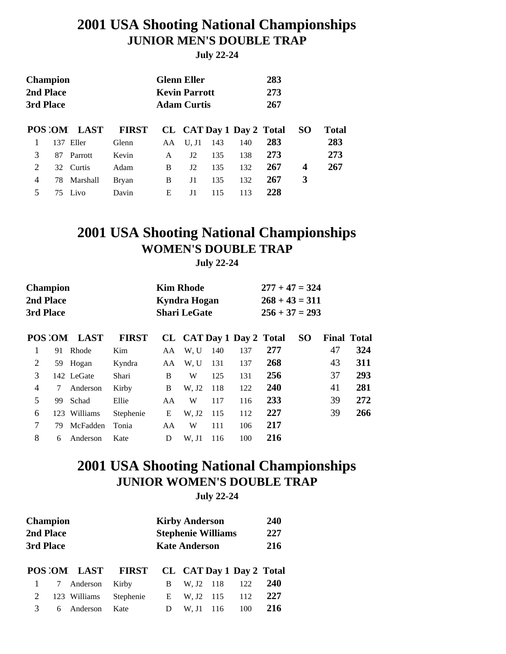### **2001 USA Shooting National Championships JUNIOR MEN'S DOUBLE TRAP**

**July 22-24**

| 2nd Place<br>3rd Place |          |                                             |              |             |     |                                                                  | 283<br>273<br>267 |                          |       |
|------------------------|----------|---------------------------------------------|--------------|-------------|-----|------------------------------------------------------------------|-------------------|--------------------------|-------|
|                        |          | <b>FIRST</b>                                |              |             |     |                                                                  |                   | <b>SO</b>                | Total |
| 137                    | Eller    | Glenn                                       | AA           | $U$ . J $1$ | 143 | 140                                                              | 283               |                          | 283   |
| 87                     | Parrott  | Kevin                                       | A            | J2          | 135 | 138                                                              | 273               |                          | 273   |
|                        |          | Adam                                        | <sub>B</sub> | J2          | 135 | 132                                                              | 267               | 4                        | 267   |
| 78                     | Marshall | <b>Bryan</b>                                | B            | J1          | 135 | 132                                                              | 267               | 3                        |       |
| 75                     | Livo     | Davin                                       | Е            | J1          | 115 | 113                                                              | 228               |                          |       |
|                        |          | <b>Champion</b><br>POS OM LAST<br>32 Curtis |              |             |     | <b>Glenn Eller</b><br><b>Kevin Parrott</b><br><b>Adam Curtis</b> |                   | CL CAT Day 1 Day 2 Total |       |

### **2001 USA Shooting National Championships WOMEN'S DOUBLE TRAP**

**July 22-24**

| <b>Champion</b><br>2nd Place<br>3rd Place |    |              |              |     | <b>Kim Rhode</b><br>Kyndra Hogan<br><b>Shari LeGate</b> |     | $277 + 47 = 324$<br>$268 + 43 = 311$<br>$256 + 37 = 293$ |     |           |                    |     |
|-------------------------------------------|----|--------------|--------------|-----|---------------------------------------------------------|-----|----------------------------------------------------------|-----|-----------|--------------------|-----|
|                                           |    | POS OM LAST  | <b>FIRST</b> |     |                                                         |     | CL CAT Day 1 Day 2 Total                                 |     | <b>SO</b> | <b>Final Total</b> |     |
| 1                                         | 91 | Rhode        | Kim          | AA. | W, U                                                    | 140 | 137                                                      | 277 |           | 47                 | 324 |
| 2                                         |    | 59 Hogan     | Kyndra       | AA  | W.U                                                     | 131 | 137                                                      | 268 |           | 43                 | 311 |
| 3                                         |    | 142 LeGate   | Shari        | B   | W                                                       | 125 | 131                                                      | 256 |           | 37                 | 293 |
| 4                                         | 7  | Anderson     | Kirby        | B   | W, J2                                                   | 118 | 122                                                      | 240 |           | 41                 | 281 |
| 5                                         | 99 | Schad        | Ellie        | AA  | W                                                       | 117 | 116                                                      | 233 |           | 39                 | 272 |
| 6                                         |    | 123 Williams | Stephenie    | E   | W, J2                                                   | 115 | 112                                                      | 227 |           | 39                 | 266 |
| 7                                         | 79 | McFadden     | Tonia        | AA  | W                                                       | 111 | 106                                                      | 217 |           |                    |     |
| 8                                         | 6  | Anderson     | Kate         | D   | W. J1                                                   | 116 | 100                                                      | 216 |           |                    |     |
|                                           |    |              |              |     |                                                         |     |                                                          |     |           |                    |     |

#### **2001 USA Shooting National Championships JUNIOR WOMEN'S DOUBLE TRAP July 22-24**

| 3rd Place | <b>Champion</b><br>2nd Place |              |              |   | <b>Kirby Anderson</b><br><b>Kate Anderson</b> | <b>Stephenie Williams</b> |                          | 240<br>227<br>216 |
|-----------|------------------------------|--------------|--------------|---|-----------------------------------------------|---------------------------|--------------------------|-------------------|
|           |                              | POS OM LAST  | <b>FIRST</b> |   |                                               |                           | CL CAT Day 1 Day 2 Total |                   |
|           | 7                            | Anderson     | Kirby        | B | W. J2                                         | - 118                     | 122                      | <b>240</b>        |
| 2         |                              | 123 Williams | Stephenie    | E | W. J2                                         | 115                       | 112                      | 227               |
| 3         | 6                            | Anderson     | Kate         | D | W. J1                                         | 116                       | 100                      | 216               |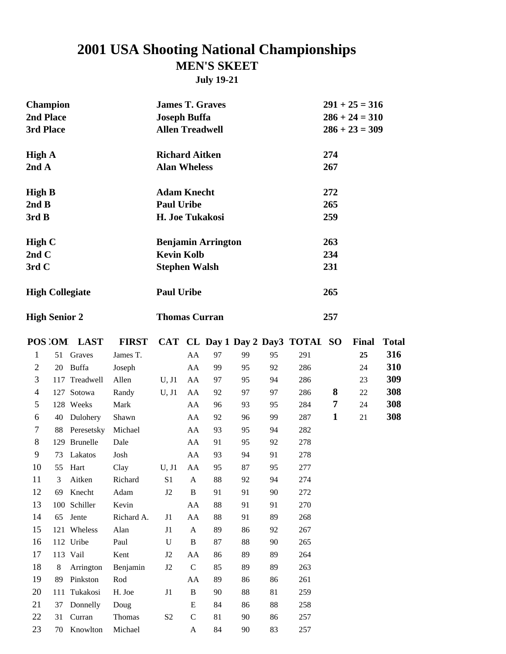## **2001 USA Shooting National Championships**

#### **MEN'S SKEET**

**July 19-21**

| <b>Champion</b><br>2nd Place<br>3rd Place |    |                        |              | <b>James T. Graves</b><br><b>Joseph Buffa</b><br><b>Allen Treadwell</b> |              |                           |    |    |                                  | $291 + 25 = 316$<br>$286 + 24 = 310$<br>$286 + 23 = 309$ |              |              |
|-------------------------------------------|----|------------------------|--------------|-------------------------------------------------------------------------|--------------|---------------------------|----|----|----------------------------------|----------------------------------------------------------|--------------|--------------|
| <b>High A</b><br>2ndA                     |    |                        |              | <b>Richard Aitken</b><br><b>Alan Wheless</b>                            |              |                           |    |    |                                  | 274<br>267                                               |              |              |
| <b>High B</b><br>2ndB<br>3rdB             |    |                        |              | <b>Adam Knecht</b><br><b>Paul Uribe</b><br>H. Joe Tukakosi              |              |                           |    |    |                                  | 272<br>265<br>259                                        |              |              |
| High $C$<br>2nd $C$<br>3rd C              |    |                        |              | <b>Kevin Kolb</b><br><b>Stephen Walsh</b>                               |              | <b>Benjamin Arrington</b> |    |    |                                  | 263<br>234<br>231                                        |              |              |
|                                           |    | <b>High Collegiate</b> |              | <b>Paul Uribe</b>                                                       |              |                           |    |    |                                  | 265                                                      |              |              |
| <b>High Senior 2</b>                      |    |                        |              | <b>Thomas Curran</b>                                                    |              |                           |    |    |                                  | 257                                                      |              |              |
|                                           |    | POS OM LAST            | <b>FIRST</b> |                                                                         |              |                           |    |    | CAT CL Day 1 Day 2 Day3 TOTAI SO |                                                          | <b>Final</b> | <b>Total</b> |
| 1                                         |    | 51 Graves              | James T.     |                                                                         | AA           | 97                        | 99 | 95 | 291                              |                                                          | 25           | 316          |
| $\overline{2}$                            | 20 | Buffa                  | Joseph       |                                                                         | AA           | 99                        | 95 | 92 | 286                              |                                                          | 24           | 310          |
| 3                                         |    | 117 Treadwell          | Allen        | U, J1                                                                   | AA           | 97                        | 95 | 94 | 286                              |                                                          | 23           | 309          |
| 4                                         |    | 127 Sotowa             | Randy        | U, J1                                                                   | AA           | 92                        | 97 | 97 | 286                              | 8                                                        | 22           | 308          |
| 5                                         |    | 128 Weeks              | Mark         |                                                                         | AA           | 96                        | 93 | 95 | 284                              | 7                                                        | 24           | 308          |
| 6                                         | 40 | Dulohery               | Shawn        |                                                                         | AA           | 92                        | 96 | 99 | 287                              | $\mathbf{1}$                                             | 21           | 308          |
| 7                                         |    | 88 Peresetsky          | Michael      |                                                                         | AA           | 93                        | 95 | 94 | 282                              |                                                          |              |              |
| 8                                         |    | 129 Brunelle           | Dale         |                                                                         | AA           | 91                        | 95 | 92 | 278                              |                                                          |              |              |
| 9                                         |    | 73 Lakatos             | Josh         |                                                                         | AA           | 93                        | 94 | 91 | 278                              |                                                          |              |              |
| 10                                        |    | 55 Hart                | Clay         | $U, J1$ AA                                                              |              | 95                        | 87 | 95 | 277                              |                                                          |              |              |
| 11                                        | 3  | Aitken                 | Richard      | S1                                                                      | A            | 88                        | 92 | 94 | 274                              |                                                          |              |              |
| 12                                        |    | 69 Knecht              | Adam         | J2                                                                      | B            | 91                        | 91 | 90 | 272                              |                                                          |              |              |
| 13                                        |    | 100 Schiller           | Kevin        |                                                                         | AA           | 88                        | 91 | 91 | 270                              |                                                          |              |              |
| 14                                        |    | 65 Jente               | Richard A.   | J1                                                                      | AA           | 88                        | 91 | 89 | 268                              |                                                          |              |              |
| 15                                        |    | 121 Wheless            | Alan         | J1                                                                      | $\mathbf{A}$ | 89                        | 86 | 92 | 267                              |                                                          |              |              |
| 16                                        |    | 112 Uribe              | Paul         | $\mathbf U$                                                             | $\, {\bf B}$ | 87                        | 88 | 90 | 265                              |                                                          |              |              |
| 17                                        |    | 113 Vail               | Kent         | J2                                                                      | AA           | 86                        | 89 | 89 | 264                              |                                                          |              |              |
| 18                                        | 8  | Arrington              | Benjamin     | $\rm J2$                                                                | $\mathbf C$  | 85                        | 89 | 89 | 263                              |                                                          |              |              |
| 19                                        |    | 89 Pinkston            | Rod          |                                                                         | AA           | 89                        | 86 | 86 | 261                              |                                                          |              |              |
| 20                                        |    | 111 Tukakosi           | H. Joe       | $\rm J1$                                                                | $\, {\bf B}$ | 90                        | 88 | 81 | 259                              |                                                          |              |              |
| 21                                        |    | 37 Donnelly            | Doug         |                                                                         | E            | 84                        | 86 | 88 | 258                              |                                                          |              |              |
| 22                                        |    | 31 Curran              | Thomas       | $\mathbf{S2}$                                                           | $\mathbf C$  | 81                        | 90 | 86 | 257                              |                                                          |              |              |
| 23                                        |    | 70 Knowlton            | Michael      |                                                                         | A            | 84                        | 90 | 83 | 257                              |                                                          |              |              |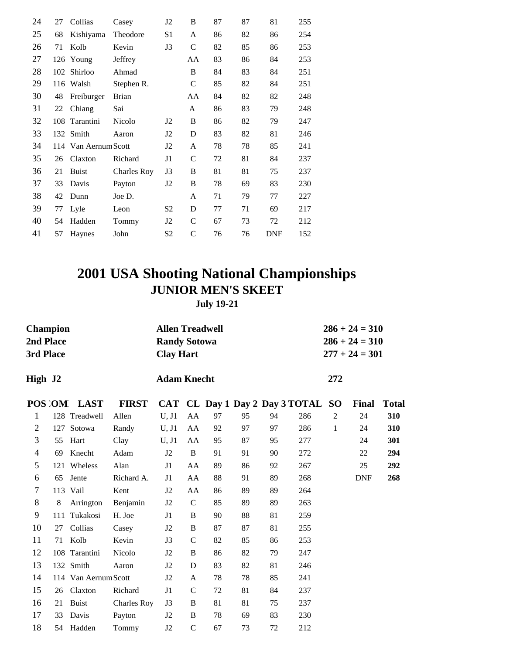| 24 | 27  | Collias              | Casey              | J2             | B            | 87 | 87 | 81         | 255 |
|----|-----|----------------------|--------------------|----------------|--------------|----|----|------------|-----|
| 25 | 68  | Kishiyama            | Theodore           | S <sub>1</sub> | A            | 86 | 82 | 86         | 254 |
| 26 | 71  | Kolb                 | Kevin              | J3             | $\mathsf{C}$ | 82 | 85 | 86         | 253 |
| 27 |     | 126 Young            | Jeffrey            |                | AA           | 83 | 86 | 84         | 253 |
| 28 | 102 | Shirloo              | Ahmad              |                | B            | 84 | 83 | 84         | 251 |
| 29 | 116 | Walsh                | Stephen R.         |                | $\mathsf{C}$ | 85 | 82 | 84         | 251 |
| 30 | 48  | Freiburger           | <b>Brian</b>       |                | AA           | 84 | 82 | 82         | 248 |
| 31 | 22  | Chiang               | Sai                |                | A            | 86 | 83 | 79         | 248 |
| 32 | 108 | Tarantini            | Nicolo             | J2             | B            | 86 | 82 | 79         | 247 |
| 33 |     | 132 Smith            | Aaron              | J2             | D            | 83 | 82 | 81         | 246 |
| 34 |     | 114 Van Aernum Scott |                    | J2             | A            | 78 | 78 | 85         | 241 |
| 35 | 26  | Claxton              | Richard            | J1             | $\mathsf{C}$ | 72 | 81 | 84         | 237 |
| 36 | 21  | <b>Buist</b>         | <b>Charles Roy</b> | J3             | B            | 81 | 81 | 75         | 237 |
| 37 | 33  | Davis                | Payton             | J2             | B            | 78 | 69 | 83         | 230 |
| 38 | 42  | Dunn                 | Joe D.             |                | A            | 71 | 79 | 77         | 227 |
| 39 | 77  | Lyle                 | Leon               | S <sub>2</sub> | D            | 77 | 71 | 69         | 217 |
| 40 | 54  | Hadden               | Tommy              | J2             | $\mathsf{C}$ | 67 | 73 | 72         | 212 |
| 41 | 57  | Haynes               | John               | S <sub>2</sub> | $\mathsf{C}$ | 76 | 76 | <b>DNF</b> | 152 |
|    |     |                      |                    |                |              |    |    |            |     |

#### **2001 USA Shooting National Championships JUNIOR MEN'S SKEET July 19-21**

| <b>Champion</b><br>2nd Place<br>3rd Place |     |                      |                    | <b>Allen Treadwell</b><br><b>Randy Sotowa</b><br><b>Clay Hart</b> |              |    |    |    |                                | $286 + 24 = 310$<br>$286 + 24 = 310$<br>$277 + 24 = 301$ |              |              |  |  |
|-------------------------------------------|-----|----------------------|--------------------|-------------------------------------------------------------------|--------------|----|----|----|--------------------------------|----------------------------------------------------------|--------------|--------------|--|--|
| High J2                                   |     |                      |                    | <b>Adam Knecht</b>                                                |              |    |    |    | 272                            |                                                          |              |              |  |  |
|                                           |     | POS OM LAST          | <b>FIRST</b>       |                                                                   |              |    |    |    | CAT CL Day 1 Day 2 Day 3 TOTAL | <b>SO</b>                                                | <b>Final</b> | <b>Total</b> |  |  |
| 1                                         |     | 128 Treadwell        | Allen              | U, J1                                                             | AA           | 97 | 95 | 94 | 286                            | $\overline{c}$                                           | 24           | 310          |  |  |
| 2                                         | 127 | Sotowa               | Randy              | U, J1                                                             | AA           | 92 | 97 | 97 | 286                            | 1                                                        | 24           | 310          |  |  |
| 3                                         | 55  | Hart                 | Clay               | U, J1                                                             | AA           | 95 | 87 | 95 | 277                            |                                                          | 24           | 301          |  |  |
| $\overline{\mathcal{A}}$                  | 69  | Knecht               | Adam               | J2                                                                | B            | 91 | 91 | 90 | 272                            |                                                          | 22           | 294          |  |  |
| 5                                         |     | 121 Wheless          | Alan               | J <sub>1</sub>                                                    | AA           | 89 | 86 | 92 | 267                            |                                                          | 25           | 292          |  |  |
| 6                                         | 65  | Jente                | Richard A.         | J1                                                                | AA           | 88 | 91 | 89 | 268                            |                                                          | <b>DNF</b>   | 268          |  |  |
| $\tau$                                    |     | 113 Vail             | Kent               | J2                                                                | AA           | 86 | 89 | 89 | 264                            |                                                          |              |              |  |  |
| 8                                         | 8   | Arrington            | Benjamin           | J <sub>2</sub>                                                    | $\mathsf{C}$ | 85 | 89 | 89 | 263                            |                                                          |              |              |  |  |
| 9                                         | 111 | Tukakosi             | H. Joe             | J <sub>1</sub>                                                    | B            | 90 | 88 | 81 | 259                            |                                                          |              |              |  |  |
| 10                                        | 27  | Collias              | Casey              | J <sub>2</sub>                                                    | B            | 87 | 87 | 81 | 255                            |                                                          |              |              |  |  |
| 11                                        | 71  | Kolb                 | Kevin              | J3                                                                | $\mathsf{C}$ | 82 | 85 | 86 | 253                            |                                                          |              |              |  |  |
| 12                                        |     | 108 Tarantini        | Nicolo             | J2                                                                | B            | 86 | 82 | 79 | 247                            |                                                          |              |              |  |  |
| 13                                        |     | 132 Smith            | Aaron              | J2                                                                | D            | 83 | 82 | 81 | 246                            |                                                          |              |              |  |  |
| 14                                        |     | 114 Van Aernum Scott |                    | J2                                                                | A            | 78 | 78 | 85 | 241                            |                                                          |              |              |  |  |
| 15                                        |     | 26 Claxton           | Richard            | J1                                                                | $\mathsf{C}$ | 72 | 81 | 84 | 237                            |                                                          |              |              |  |  |
| 16                                        | 21  | <b>Buist</b>         | <b>Charles Roy</b> | J3                                                                | B            | 81 | 81 | 75 | 237                            |                                                          |              |              |  |  |
| 17                                        | 33  | Davis                | Payton             | J <sub>2</sub>                                                    | B            | 78 | 69 | 83 | 230                            |                                                          |              |              |  |  |
| 18                                        | 54  | Hadden               | Tommy              | J2                                                                | $\mathbf C$  | 67 | 73 | 72 | 212                            |                                                          |              |              |  |  |